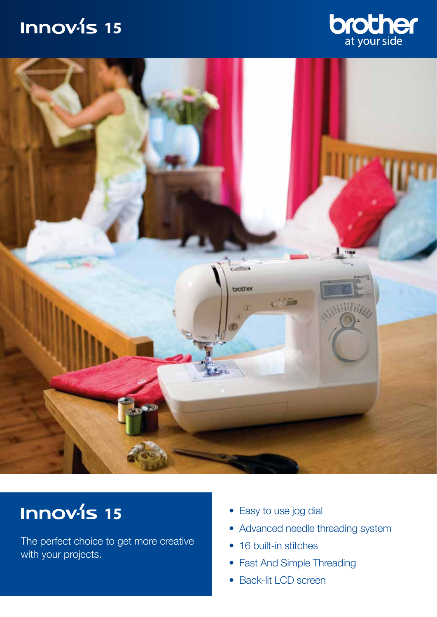## **Innov-is 15**





# **11 15 15** • Easy to use jog dial

The perfect choice to get more creative with your projects.

- 
- Advanced needle threading system
- 16 built-in stitches
- Fast And Simple Threading
- Back-lit LCD screen